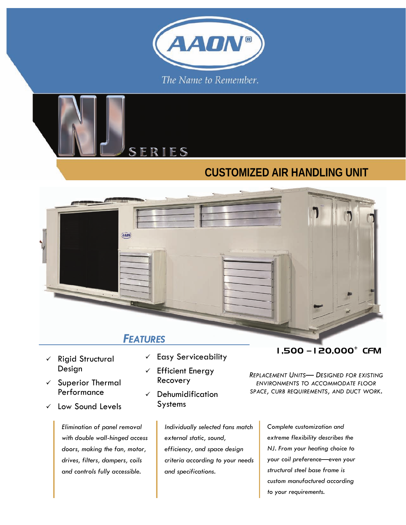



### **CUSTOMIZED AIR HANDLING UNIT**



- *FEATURES*
- $\checkmark$  Rigid Structural Design
- $\checkmark$  Superior Thermal Performance
- $\checkmark$  Low Sound Levels

*Elimination of panel removal with double wall-hinged access doors, making the fan, motor, drives, filters, dampers, coils and controls fully accessible.* 

- $\checkmark$  Easy Serviceability
- $\checkmark$  Efficient Energy Recovery
- $\checkmark$  Dehumidification Systems

*Individually selected fans match external static, sound, efficiency, and space design criteria according to your needs and specifications.* 

#### 1,500 —120,000+ CFM

*REPLACEMENT UNITS— DESIGNED FOR EXISTING ENVIRONMENTS TO ACCOMMODATE FLOOR SPACE, CURB REQUIREMENTS, AND DUCT WORK.* 

> *Complete customization and extreme flexibility describes the NJ. From your heating choice to your coil preference—even your structural steel base frame is custom manufactured according to your requirements.*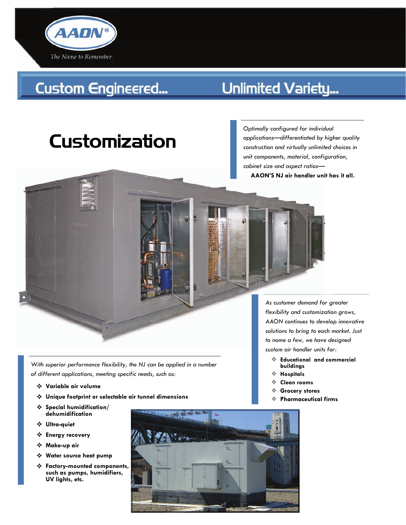

## **Custom Engineered...**

### Unlimited Variety...

# Customization

*Optimally configured for individual applications—differentiated by higher quality construction and virtually unlimited choices in unit components, material, configuration, cabinet size and aspect ratios—* 

**AAON'S NJ air handler unit has it all.** 

*With superior performance flexibility, the NJ can be applied in a number of different applications, meeting specific needs, such as:* 

- G **Variable air volume**
- G **Unique footprint or selectable air tunnel dimensions**
- G **Special humidification/ dehumidification**
- G **Ultra-quiet**
- G **Energy recovery**
- G **Make-up air**
- G **Water source heat pump**
- G **Factory-mounted components, such as pumps, humidifiers, UV lights, etc.**



*As customer demand for greater flexibility and customization grows, AAON continues to develop innovative solutions to bring to each market. Just to name a few, we have designed custom air handler units for:* 

- $\Leftrightarrow$  Educational and commercial **buildings**
- $\Leftrightarrow$  **Hospitals**
- $\Leftrightarrow$  Clean rooms
- $\Leftrightarrow$  Grocery stores
- G **Pharmaceutical firms**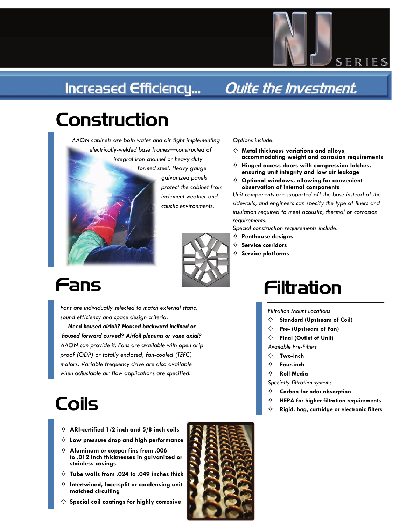### **Increased Efficiency...**

### Quite the Investment.

# Construction



*AAON cabinets are both water and air tight implementing electrically-welded base frames—constructed of* 

> *formed steel. Heavy gauge galvanized panels protect the cabinet from inclement weather and caustic environments.*

#### *Options include:*

G **Metal thickness variations and alloys, accommodating weight and corrosion requirements** 

SERIES

- G **Hinged access doors with compression latches, ensuring unit integrity and low air leakage**
- G **Optional windows, allowing for convenient observation of internal components**

*Unit components are supported off the base instead of the sidewalls, and engineers can specify the type of liners and insulation required to meet acoustic, thermal or corrosion requirements.* 

*Special construction requirements include:* 

- $\Leftrightarrow$  Penthouse designs
- Service corridors
- $\Leftrightarrow$  Service platforms

## Fans

*Fans are individually selected to match external static, sound efficiency and space design criteria.* 

*Need housed airfoil? Housed backward inclined or housed forward curved? Airfoil plenums or vane axial? AAON can provide it. Fans are available with open drip proof (ODP) or totally enclosed, fan-cooled (TEFC) motors. Variable frequency drive are also available when adjustable air flow applications are specified.* 

## Coils

- G **ARI-certified 1/2 inch and 5/8 inch coils**
- G **Low pressure drop and high performance**
- G **Aluminum or copper fins from .006 to .012 inch thicknesses in galvanized or stainless casings**
- G **Tube walls from .024 to .049 inches thick**
- $\Leftrightarrow$  Intertwined, face-split or condensing unit **matched circuiting**
- $\Leftrightarrow$  Special coil coatings for highly corrosive



## Filtration

*Filtration Mount Locations* 

- $\Leftrightarrow$  Standard (Upstream of Coil)
- Pre- (Upstream of Fan)
- **Final (Outlet of Unit)**

*Available Pre-Filters* 

- G **Two-inch**
- G **Four-inch**
- $\Leftrightarrow$  **Roll Media**

*Specialty filtration systems* 

- G **Carbon for odor absorption**
- G **HEPA for higher filtration requirements**
- G **Rigid, bag, cartridge or electronic filters**